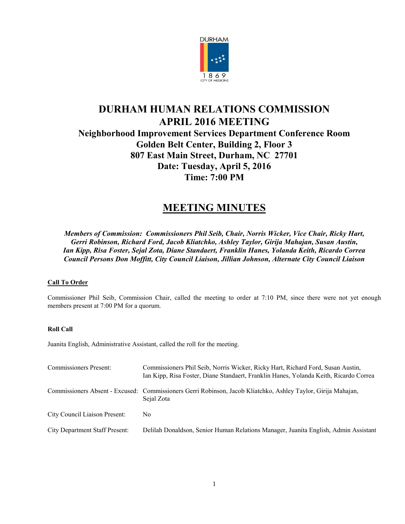

# **DURHAM HUMAN RELATIONS COMMISSION APRIL 2016 MEETING Neighborhood Improvement Services Department Conference Room Golden Belt Center, Building 2, Floor 3 807 East Main Street, Durham, NC 27701 Date: Tuesday, April 5, 2016 Time: 7:00 PM**

# **MEETING MINUTES**

*Members of Commission: Commissioners Phil Seib, Chair, Norris Wicker, Vice Chair, Ricky Hart, Gerri Robinson, Richard Ford, Jacob Kliatchko, Ashley Taylor, Girija Mahajan, Susan Austin, Ian Kipp, Risa Foster, Sejal Zota, Diane Standaert, Franklin Hanes, Yolanda Keith, Ricardo Correa Council Persons Don Moffitt, City Council Liaison, Jillian Johnson, Alternate City Council Liaison*

# **Call To Order**

Commissioner Phil Seib, Commission Chair, called the meeting to order at 7:10 PM, since there were not yet enough members present at 7:00 PM for a quorum.

## **Roll Call**

Juanita English, Administrative Assistant, called the roll for the meeting.

| <b>Commissioners Present:</b>         | Commissioners Phil Seib, Norris Wicker, Ricky Hart, Richard Ford, Susan Austin,<br>Ian Kipp, Risa Foster, Diane Standaert, Franklin Hanes, Yolanda Keith, Ricardo Correa |
|---------------------------------------|--------------------------------------------------------------------------------------------------------------------------------------------------------------------------|
|                                       | Commissioners Absent - Excused: Commissioners Gerri Robinson, Jacob Kliatchko, Ashley Taylor, Girija Mahajan,<br>Sejal Zota                                              |
| City Council Liaison Present:         | No.                                                                                                                                                                      |
| <b>City Department Staff Present:</b> | Delilah Donaldson, Senior Human Relations Manager, Juanita English, Admin Assistant                                                                                      |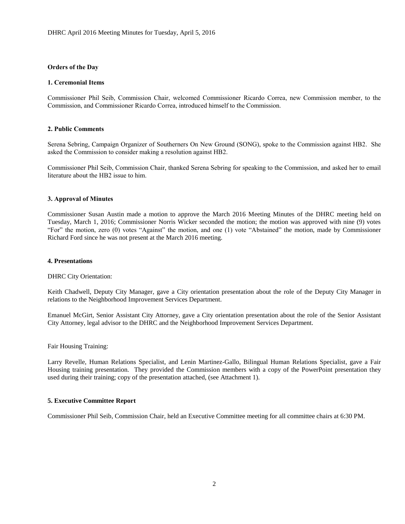### **Orders of the Day**

### **1. Ceremonial Items**

Commissioner Phil Seib, Commission Chair, welcomed Commissioner Ricardo Correa, new Commission member, to the Commission, and Commissioner Ricardo Correa, introduced himself to the Commission.

### **2. Public Comments**

Serena Sebring, Campaign Organizer of Southerners On New Ground (SONG), spoke to the Commission against HB2. She asked the Commission to consider making a resolution against HB2.

Commissioner Phil Seib, Commission Chair, thanked Serena Sebring for speaking to the Commission, and asked her to email literature about the HB2 issue to him.

### **3. Approval of Minutes**

Commissioner Susan Austin made a motion to approve the March 2016 Meeting Minutes of the DHRC meeting held on Tuesday, March 1, 2016; Commissioner Norris Wicker seconded the motion; the motion was approved with nine (9) votes "For" the motion, zero (0) votes "Against" the motion, and one (1) vote "Abstained" the motion, made by Commissioner Richard Ford since he was not present at the March 2016 meeting.

#### **4. Presentations**

DHRC City Orientation:

Keith Chadwell, Deputy City Manager, gave a City orientation presentation about the role of the Deputy City Manager in relations to the Neighborhood Improvement Services Department.

Emanuel McGirt, Senior Assistant City Attorney, gave a City orientation presentation about the role of the Senior Assistant City Attorney, legal advisor to the DHRC and the Neighborhood Improvement Services Department.

Fair Housing Training:

Larry Revelle, Human Relations Specialist, and Lenin Martinez-Gallo, Bilingual Human Relations Specialist, gave a Fair Housing training presentation. They provided the Commission members with a copy of the PowerPoint presentation they used during their training; copy of the presentation attached, (see Attachment 1).

## **5. Executive Committee Report**

Commissioner Phil Seib, Commission Chair, held an Executive Committee meeting for all committee chairs at 6:30 PM.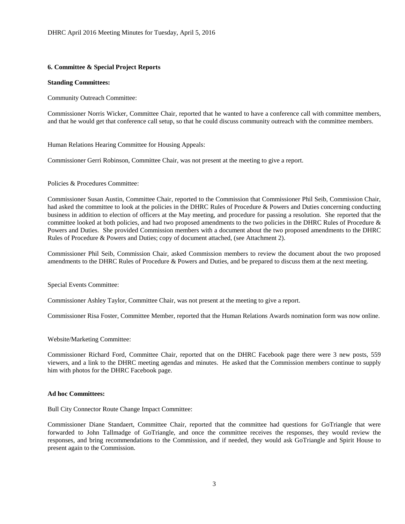## **6. Committee & Special Project Reports**

## **Standing Committees:**

Community Outreach Committee:

Commissioner Norris Wicker, Committee Chair, reported that he wanted to have a conference call with committee members, and that he would get that conference call setup, so that he could discuss community outreach with the committee members.

Human Relations Hearing Committee for Housing Appeals:

Commissioner Gerri Robinson, Committee Chair, was not present at the meeting to give a report.

Policies & Procedures Committee:

Commissioner Susan Austin, Committee Chair, reported to the Commission that Commissioner Phil Seib, Commission Chair, had asked the committee to look at the policies in the DHRC Rules of Procedure & Powers and Duties concerning conducting business in addition to election of officers at the May meeting, and procedure for passing a resolution. She reported that the committee looked at both policies, and had two proposed amendments to the two policies in the DHRC Rules of Procedure & Powers and Duties. She provided Commission members with a document about the two proposed amendments to the DHRC Rules of Procedure & Powers and Duties; copy of document attached, (see Attachment 2).

Commissioner Phil Seib, Commission Chair, asked Commission members to review the document about the two proposed amendments to the DHRC Rules of Procedure & Powers and Duties, and be prepared to discuss them at the next meeting.

Special Events Committee:

Commissioner Ashley Taylor, Committee Chair, was not present at the meeting to give a report.

Commissioner Risa Foster, Committee Member, reported that the Human Relations Awards nomination form was now online.

Website/Marketing Committee:

Commissioner Richard Ford, Committee Chair, reported that on the DHRC Facebook page there were 3 new posts, 559 viewers, and a link to the DHRC meeting agendas and minutes. He asked that the Commission members continue to supply him with photos for the DHRC Facebook page.

## **Ad hoc Committees:**

Bull City Connector Route Change Impact Committee:

Commissioner Diane Standaert, Committee Chair, reported that the committee had questions for GoTriangle that were forwarded to John Tallmadge of GoTriangle, and once the committee receives the responses, they would review the responses, and bring recommendations to the Commission, and if needed, they would ask GoTriangle and Spirit House to present again to the Commission.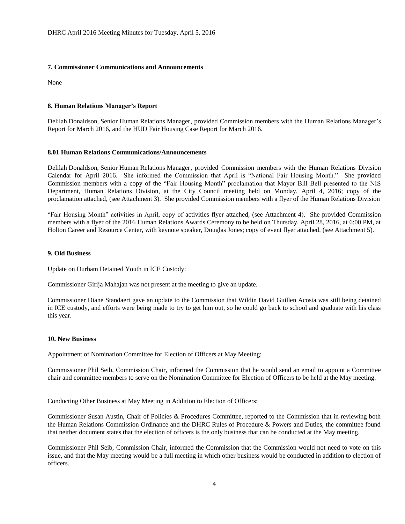# **7. Commissioner Communications and Announcements**

None

# **8. Human Relations Manager's Report**

Delilah Donaldson, Senior Human Relations Manager, provided Commission members with the Human Relations Manager's Report for March 2016, and the HUD Fair Housing Case Report for March 2016.

# **8.01 Human Relations Communications/Announcements**

Delilah Donaldson, Senior Human Relations Manager, provided Commission members with the Human Relations Division Calendar for April 2016. She informed the Commission that April is "National Fair Housing Month." She provided Commission members with a copy of the "Fair Housing Month" proclamation that Mayor Bill Bell presented to the NIS Department, Human Relations Division, at the City Council meeting held on Monday, April 4, 2016; copy of the proclamation attached, (see Attachment 3). She provided Commission members with a flyer of the Human Relations Division

"Fair Housing Month" activities in April, copy of activities flyer attached, (see Attachment 4). She provided Commission members with a flyer of the 2016 Human Relations Awards Ceremony to be held on Thursday, April 28, 2016, at 6:00 PM, at Holton Career and Resource Center, with keynote speaker, Douglas Jones; copy of event flyer attached, (see Attachment 5).

## **9. Old Business**

Update on Durham Detained Youth in ICE Custody:

Commissioner Girija Mahajan was not present at the meeting to give an update.

Commissioner Diane Standaert gave an update to the Commission that Wildin David Guillen Acosta was still being detained in ICE custody, and efforts were being made to try to get him out, so he could go back to school and graduate with his class this year.

## **10. New Business**

Appointment of Nomination Committee for Election of Officers at May Meeting:

Commissioner Phil Seib, Commission Chair, informed the Commission that he would send an email to appoint a Committee chair and committee members to serve on the Nomination Committee for Election of Officers to be held at the May meeting.

Conducting Other Business at May Meeting in Addition to Election of Officers:

Commissioner Susan Austin, Chair of Policies & Procedures Committee, reported to the Commission that in reviewing both the Human Relations Commission Ordinance and the DHRC Rules of Procedure & Powers and Duties, the committee found that neither document states that the election of officers is the only business that can be conducted at the May meeting.

Commissioner Phil Seib, Commission Chair, informed the Commission that the Commission would not need to vote on this issue, and that the May meeting would be a full meeting in which other business would be conducted in addition to election of officers.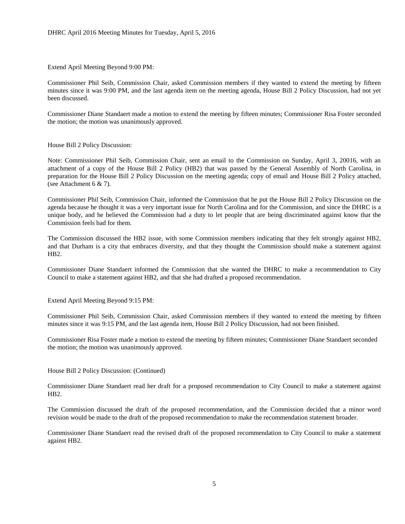Extend April Meeting Beyond 9:00 PM:

Commissioner Phil Seib, Commission Chair, asked Commission members if they wanted to extend the meeting by fifteen minutes since it was 9:00 PM, and the last agenda item on the meeting agenda, House Bill 2 Policy Discussion, had not yet been discussed.

Commissioner Diane Standaert made a motion to extend the meeting by fifteen minutes; Commissioner Risa Foster seconded the motion; the motion was unanimously approved.

House Bill 2 Policy Discussion:

Note: Commissioner Phil Seib, Commission Chair, sent an email to the Commission on Sunday, April 3, 20016, with an attachment of a copy of the House Bill 2 Policy (HB2) that was passed by the General Assembly of North Carolina, in preparation for the House Bill 2 Policy Discussion on the meeting agenda; copy of email and House Bill 2 Policy attached, (see Attachment 6 & 7).

Commissioner Phil Seib, Commission Chair, informed the Commission that he put the House Bill 2 Policy Discussion on the agenda because he thought it was a very important issue for North Carolina and for the Commission, and since the DHRC is a unique body, and he believed the Commission had a duty to let people that are being discriminated against know that the Commission feels bad for them.

The Commission discussed the HB2 issue, with some Commission members indicating that they felt strongly against HB2, and that Durham is a city that embraces diversity, and that they thought the Commission should make a statement against HB2.

Commissioner Diane Standaert informed the Commission that she wanted the DHRC to make a recommendation to City Council to make a statement against HB2, and that she had drafted a proposed recommendation.

Extend April Meeting Beyond 9:15 PM:

Commissioner Phil Seib, Commission Chair, asked Commission members if they wanted to extend the meeting by fifteen minutes since it was 9:15 PM, and the last agenda item, House Bill 2 Policy Discussion, had not been finished.

Commissioner Risa Foster made a motion to extend the meeting by fifteen minutes; Commissioner Diane Standaert seconded the motion; the motion was unanimously approved.

House Bill 2 Policy Discussion: (Continued)

Commissioner Diane Standaert read her draft for a proposed recommendation to City Council to make a statement against HB2.

The Commission discussed the draft of the proposed recommendation, and the Commission decided that a minor word revision would be made to the draft of the proposed recommendation to make the recommendation statement broader.

Commissioner Diane Standaert read the revised draft of the proposed recommendation to City Council to make a statement against HB2.